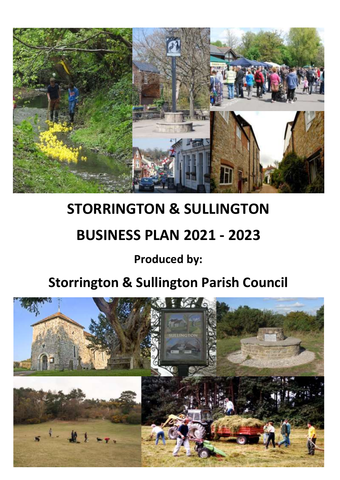

# **STORRINGTON & SULLINGTON**

# **BUSINESS PLAN 2021 - 2023**

## **Produced by:**

## **Storrington & Sullington Parish Council**

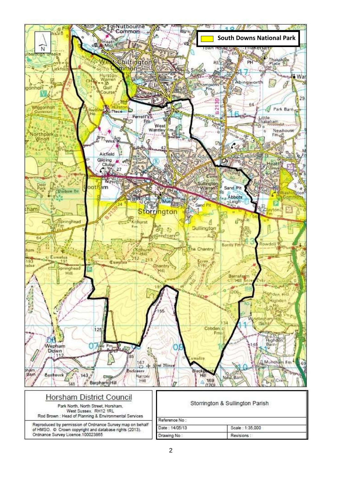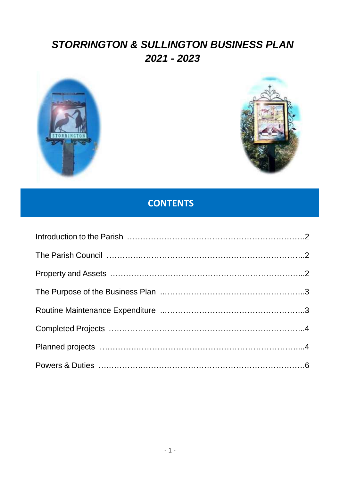### *STORRINGTON & SULLINGTON BUSINESS PLAN 2021 - 2023*





### **CONTENTS**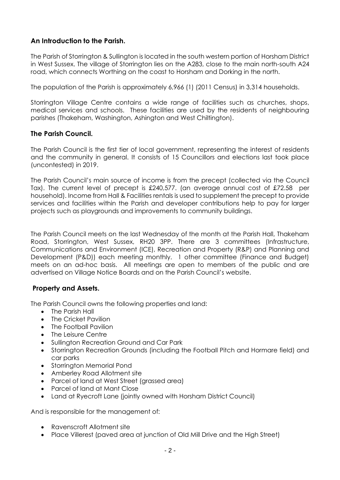#### **An Introduction to the Parish.**

The Parish of Storrington & Sullington is located in the south western portion of Horsham District in West Sussex. The village of Storrington lies on the A283, close to the main north-south A24 road, which connects Worthing on the coast to Horsham and Dorking in the north.

The population of the Parish is approximately 6,966 (1) (2011 Census) in 3,314 households.

Storrington Village Centre contains a wide range of facilities such as churches, shops, medical services and schools. These facilities are used by the residents of neighbouring parishes (Thakeham, Washington, Ashington and West Chiltington).

#### **The Parish Council.**

The Parish Council is the first tier of local government, representing the interest of residents and the community in general. It consists of 15 Councillors and elections last took place (uncontested) in 2019.

The Parish Council's main source of income is from the precept (collected via the Council Tax). The current level of precept is £240,577. (an average annual cost of £72.58 per household). Income from Hall & Facilities rentals is used to supplement the precept to provide services and facilities within the Parish and developer contributions help to pay for larger projects such as playgrounds and improvements to community buildings.

The Parish Council meets on the last Wednesday of the month at the Parish Hall, Thakeham Road, Storrington, West Sussex, RH20 3PP. There are 3 committees (Infrastructure, Communications and Environment (ICE), Recreation and Property (R&P) and Planning and Development (P&D)) each meeting monthly. 1 other committee (Finance and Budget) meets on an ad-hoc basis. All meetings are open to members of the public and are advertised on Village Notice Boards and on the Parish Council's website.

#### **Property and Assets.**

The Parish Council owns the following properties and land:

- The Parish Hall
- The Cricket Pavilion
- The Football Pavilion
- The Leisure Centre
- Sullington Recreation Ground and Car Park
- Storrington Recreation Grounds (including the Football Pitch and Hormare field) and car parks
- Storrington Memorial Pond
- Amberley Road Allotment site
- Parcel of land at West Street (grassed area)
- Parcel of land at Mant Close
- Land at Ryecroft Lane (jointly owned with Horsham District Council)

And is responsible for the management of:

- Ravenscroft Allotment site
- Place Villerest (paved area at junction of Old Mill Drive and the High Street)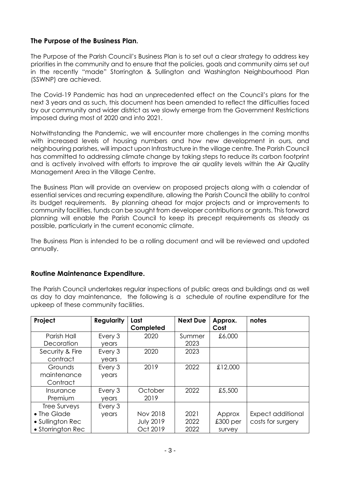#### **The Purpose of the Business Plan.**

The Purpose of the Parish Council's Business Plan is to set out a clear strategy to address key priorities in the community and to ensure that the policies, goals and community aims set out in the recently "made" Storrington & Sullington and Washington Neighbourhood Plan (SSWNP) are achieved.

The Covid-19 Pandemic has had an unprecedented effect on the Council's plans for the next 3 years and as such, this document has been amended to reflect the difficulties faced by our community and wider district as we slowly emerge from the Government Restrictions imposed during most of 2020 and into 2021.

Notwithstanding the Pandemic, we will encounter more challenges in the coming months with increased levels of housing numbers and how new development in ours, and neighbouring parishes, will impact upon Infrastructure in the village centre. The Parish Council has committed to addressing climate change by taking steps to reduce its carbon footprint and is actively involved with efforts to improve the air quality levels within the Air Quality Management Area in the Village Centre.

The Business Plan will provide an overview on proposed projects along with a calendar of essential services and recurring expenditure, allowing the Parish Council the ability to control its budget requirements. By planning ahead for major projects and or improvements to community facilities, funds can be sought from developer contributions or grants. This forward planning will enable the Parish Council to keep its precept requirements as steady as possible, particularly in the current economic climate.

The Business Plan is intended to be a rolling document and will be reviewed and updated annually.

#### **Routine Maintenance Expenditure.**

The Parish Council undertakes regular inspections of public areas and buildings and as well as day to day maintenance, the following is a schedule of routine expenditure for the upkeep of these community facilities.

| Project           | <b>Regularity</b> | Last             | <b>Next Due</b> | Approx.    | notes             |
|-------------------|-------------------|------------------|-----------------|------------|-------------------|
|                   |                   | Completed        |                 | Cost       |                   |
| Parish Hall       | Every 3           | 2020             | Summer          | £6,000     |                   |
| Decoration        | years             |                  | 2023            |            |                   |
| Security & Fire   | Every 3           | 2020             | 2023            |            |                   |
| contract          | years             |                  |                 |            |                   |
| Grounds           | Every 3           | 2019             | 2022            | £12,000    |                   |
| maintenance       | years             |                  |                 |            |                   |
| Contract          |                   |                  |                 |            |                   |
| Insurance         | Every 3           | October          | 2022            | £5,500     |                   |
| Premium           | years             | 2019             |                 |            |                   |
| Tree Surveys      | Every 3           |                  |                 |            |                   |
| • The Glade       | years             | <b>Nov 2018</b>  | 2021            | Approx     | Expect additional |
| • Sullington Rec  |                   | <b>July 2019</b> | 2022            | $£300$ per | costs for surgery |
| • Storrington Rec |                   | Oct 2019         | 2022            | survey     |                   |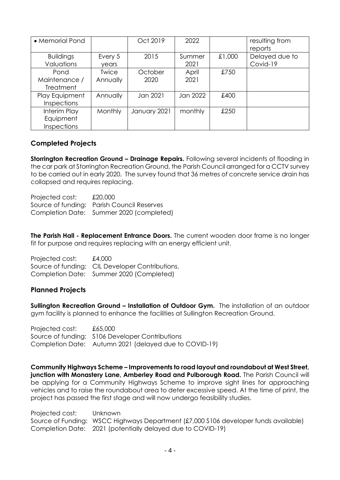| • Memorial Pond    |              | Oct 2019     | 2022     |        | resulting from |
|--------------------|--------------|--------------|----------|--------|----------------|
|                    |              |              |          |        | reports        |
| <b>Buildings</b>   | Every 5      | 2015         | Summer   | £1,000 | Delayed due to |
| Valuations         | years        |              | 2021     |        | Covid-19       |
| Pond               | <b>Twice</b> | October      | April    | £750   |                |
| Maintenance /      | Annually     | 2020         | 2021     |        |                |
| <b>Treatment</b>   |              |              |          |        |                |
| Play Equipment     | Annually     | Jan 2021     | Jan 2022 | £400   |                |
| <b>Inspections</b> |              |              |          |        |                |
| Interim Play       | Monthly      | January 2021 | monthly  | £250   |                |
| Equipment          |              |              |          |        |                |
| Inspections        |              |              |          |        |                |

#### **Completed Projects**

**Storrington Recreation Ground – Drainage Repairs.** Following several incidents of flooding in the car park at Storrington Recreation Ground, the Parish Council arranged for a CCTV survey to be carried out in early 2020. The survey found that 36 metres of concrete service drain has collapsed and requires replacing.

Projected cost: £20,000 Source of funding: Parish Council Reserves Completion Date: Summer 2020 (completed)

**The Parish Hall - Replacement Entrance Doors.** The current wooden door frame is no longer fit for purpose and requires replacing with an energy efficient unit.

Projected cost: £4,000 Source of funding: CIL Developer Contributions. Completion Date: Summer 2020 (Completed)

#### **Planned Projects**

**Sullington Recreation Ground – Installation of Outdoor Gym.** The installation of an outdoor gym facility is planned to enhance the facilities at Sullington Recreation Ground.

Projected cost: £65,000 Source of funding: S106 Developer Contributions Completion Date: Autumn 2021 (delayed due to COVID-19)

**Community Highways Scheme – Improvements to road layout and roundabout at West Street, junction with Monastery Lane, Amberley Road and Pulborough Road.** The Parish Council will be applying for a Community Highways Scheme to improve sight lines for approaching vehicles and to raise the roundabout area to deter excessive speed. At the time of print, the project has passed the first stage and will now undergo feasibility studies.

Projected cost: Unknown Source of Funding: WSCC Highways Department (£7,000 S106 developer funds available) Completion Date: 2021 (potentially delayed due to COVID-19)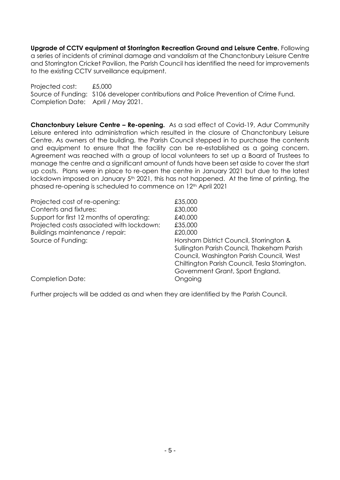**Upgrade of CCTV equipment at Storrington Recreation Ground and Leisure Centre.** Following a series of incidents of criminal damage and vandalism at the Chanctonbury Leisure Centre and Storrington Cricket Pavilion, the Parish Council has identified the need for improvements to the existing CCTV surveillance equipment.

Projected cost: £5,000 Source of Funding: S106 developer contributions and Police Prevention of Crime Fund. Completion Date: April / May 2021.

**Chanctonbury Leisure Centre – Re-opening.** As a sad effect of Covid-19, Adur Community Leisure entered into administration which resulted in the closure of Chanctonbury Leisure Centre. As owners of the building, the Parish Council stepped in to purchase the contents and equipment to ensure that the facility can be re-established as a going concern. Agreement was reached with a group of local volunteers to set up a Board of Trustees to manage the centre and a significant amount of funds have been set aside to cover the start up costs. Plans were in place to re-open the centre in January 2021 but due to the latest lockdown imposed on January 5<sup>th</sup> 2021, this has not happened. At the time of printing, the phased re-opening is scheduled to commence on 12<sup>th</sup> April 2021

Projected cost of re-opening: £35,000 Contents and fixtures: £30,000 Support for first 12 months of operating: £40,000 Projected costs associated with lockdown: £35,000 Buildings maintenance / repair:  $\qquad \qquad \text{£20,000}$ Source of Funding: Source of Funding: Source of Funding: All and Muslim Muslim Business Horsham District Council, Storrington &

Sullington Parish Council, Thakeham Parish Council, Washington Parish Council, West Chiltington Parish Council, Tesla Storrington. Government Grant, Sport England.

Completion Date: Completion Date:

Further projects will be added as and when they are identified by the Parish Council.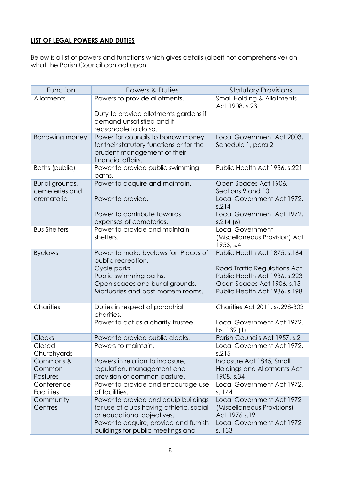#### **LIST OF LEGAL POWERS AND DUTIES**

Below is a list of powers and functions which gives details (albeit not comprehensive) on what the Parish Council can act upon:

| Function                                        | Powers & Duties                                                                                                                                                                              | <b>Statutory Provisions</b>                                                                                                                                   |
|-------------------------------------------------|----------------------------------------------------------------------------------------------------------------------------------------------------------------------------------------------|---------------------------------------------------------------------------------------------------------------------------------------------------------------|
| Allotments                                      | Powers to provide allotments.                                                                                                                                                                | <b>Small Holding &amp; Allotments</b>                                                                                                                         |
|                                                 | Duty to provide allotments gardens if<br>demand unsatisfied and if<br>reasonable to do so.                                                                                                   | Act 1908, s.23                                                                                                                                                |
| Borrowing money                                 | Power for councils to borrow money<br>for their statutory functions or for the<br>prudent management of their<br>financial affairs.                                                          | Local Government Act 2003,<br>Schedule 1, para 2                                                                                                              |
| Baths (public)                                  | Power to provide public swimming<br>baths.                                                                                                                                                   | Public Health Act 1936, s.221                                                                                                                                 |
| Burial grounds,<br>cemeteries and<br>crematoria | Power to acquire and maintain.<br>Power to provide.<br>Power to contribute towards                                                                                                           | Open Spaces Act 1906,<br>Sections 9 and 10<br>Local Government Act 1972,<br>s.214<br>Local Government Act 1972,                                               |
|                                                 | expenses of cemeteries.                                                                                                                                                                      | s.214(6)                                                                                                                                                      |
| <b>Bus Shelters</b>                             | Power to provide and maintain<br>shelters.                                                                                                                                                   | <b>Local Government</b><br>(Miscellaneous Provision) Act<br>1953, s.4                                                                                         |
| <b>Byelaws</b>                                  | Power to make byelaws for: Places of<br>public recreation.<br>Cycle parks.<br>Public swimming baths.<br>Open spaces and burial grounds.<br>Mortuaries and post-mortem rooms.                 | Public Health Act 1875, s.164<br>Road Traffic Regulations Act<br>Public Health Act 1936, s.223<br>Open Spaces Act 1906, s.15<br>Public Health Act 1936, s.198 |
| Charities                                       | Duties in respect of parochial<br>charities.<br>Power to act as a charity trustee.                                                                                                           | Charities Act 2011, ss.298-303<br>Local Government Act 1972,<br>bs. 139 (1)                                                                                   |
| Clocks                                          | Power to provide public clocks.                                                                                                                                                              | Parish Councils Act 1957, s.2                                                                                                                                 |
| Closed<br>Churchyards                           | Powers to maintain.                                                                                                                                                                          | Local Government Act 1972,<br>s.215                                                                                                                           |
| Commons &<br>Common<br>Pastures                 | Powers in relation to inclosure,<br>regulation, management and<br>provision of common pasture.                                                                                               | Inclosure Act 1845; Small<br>Holdings and Allotments Act<br>1908, s.34                                                                                        |
| Conference<br><b>Facilities</b>                 | Power to provide and encourage use<br>of facilities.                                                                                                                                         | Local Government Act 1972,<br>s. 144                                                                                                                          |
| Community<br>Centres                            | Power to provide and equip buildings<br>for use of clubs having athletic, social<br>or educational objectives.<br>Power to acquire, provide and furnish<br>buildings for public meetings and | Local Government Act 1972<br>(Miscellaneous Provisions)<br>Act 1976 s.19<br>Local Government Act 1972<br>s. 133                                               |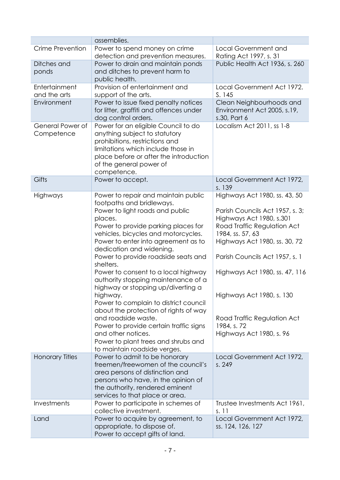|                                | assemblies.                                                                                                                                                                                                                                                                                                                                                                                                                                                                                                                                                                                                                                                                                         |                                                                                                                                                                                                                                                                                                                                                             |
|--------------------------------|-----------------------------------------------------------------------------------------------------------------------------------------------------------------------------------------------------------------------------------------------------------------------------------------------------------------------------------------------------------------------------------------------------------------------------------------------------------------------------------------------------------------------------------------------------------------------------------------------------------------------------------------------------------------------------------------------------|-------------------------------------------------------------------------------------------------------------------------------------------------------------------------------------------------------------------------------------------------------------------------------------------------------------------------------------------------------------|
| Crime Prevention               | Power to spend money on crime<br>detection and prevention measures.                                                                                                                                                                                                                                                                                                                                                                                                                                                                                                                                                                                                                                 | <b>Local Government and</b><br>Rating Act 1997, s. 31                                                                                                                                                                                                                                                                                                       |
| Ditches and<br>ponds           | Power to drain and maintain ponds<br>and ditches to prevent harm to<br>public health.                                                                                                                                                                                                                                                                                                                                                                                                                                                                                                                                                                                                               | Public Health Act 1936, s. 260                                                                                                                                                                                                                                                                                                                              |
| Entertainment<br>and the arts  | Provision of entertainment and<br>support of the arts.                                                                                                                                                                                                                                                                                                                                                                                                                                                                                                                                                                                                                                              | Local Government Act 1972.<br>S.145                                                                                                                                                                                                                                                                                                                         |
| Environment                    | Power to issue fixed penalty notices<br>for litter, graffiti and offences under<br>dog control orders.                                                                                                                                                                                                                                                                                                                                                                                                                                                                                                                                                                                              | Clean Neighbourhoods and<br>Environment Act 2005, s.19,<br>s.30, Part 6                                                                                                                                                                                                                                                                                     |
| General Power of<br>Competence | Power for an eligible Council to do<br>anything subject to statutory<br>prohibitions, restrictions and<br>limitations which include those in<br>place before or after the introduction<br>of the general power of<br>competence.                                                                                                                                                                                                                                                                                                                                                                                                                                                                    | Localism Act 2011, ss 1-8                                                                                                                                                                                                                                                                                                                                   |
| Gifts                          | Power to accept.                                                                                                                                                                                                                                                                                                                                                                                                                                                                                                                                                                                                                                                                                    | Local Government Act 1972,<br>s. 139                                                                                                                                                                                                                                                                                                                        |
| Highways                       | Power to repair and maintain public<br>footpaths and bridleways.<br>Power to light roads and public<br>places.<br>Power to provide parking places for<br>vehicles, bicycles and motorcycles.<br>Power to enter into agreement as to<br>dedication and widening.<br>Power to provide roadside seats and<br>shelters.<br>Power to consent to a local highway<br>authority stopping maintenance of a<br>highway or stopping up/diverting a<br>highway.<br>Power to complain to district council<br>about the protection of rights of way<br>and roadside waste.<br>Power to provide certain traffic signs<br>and other notices.<br>Power to plant trees and shrubs and<br>to maintain roadside verges. | Highways Act 1980, ss. 43, 50<br>Parish Councils Act 1957, s. 3;<br>Highways Act 1980, s.301<br>Road Traffic Regulation Act<br>1984, ss. 57, 63<br>Highways Act 1980, ss. 30, 72<br>Parish Councils Act 1957, s. 1<br>Highways Act 1980, ss. 47, 116<br>Highways Act 1980, s. 130<br>Road Traffic Regulation Act<br>1984, s. 72<br>Highways Act 1980, s. 96 |
| <b>Honorary Titles</b>         | Power to admit to be honorary<br>freemen/freewomen of the council's<br>area persons of distinction and<br>persons who have, in the opinion of<br>the authority, rendered eminent<br>services to that place or area.                                                                                                                                                                                                                                                                                                                                                                                                                                                                                 | Local Government Act 1972,<br>s. 249                                                                                                                                                                                                                                                                                                                        |
| Investments                    | Power to participate in schemes of<br>collective investment.                                                                                                                                                                                                                                                                                                                                                                                                                                                                                                                                                                                                                                        | Trustee Investments Act 1961,<br>s. 11                                                                                                                                                                                                                                                                                                                      |
| Land                           | Power to acquire by agreement, to<br>appropriate, to dispose of.<br>Power to accept gifts of land.                                                                                                                                                                                                                                                                                                                                                                                                                                                                                                                                                                                                  | Local Government Act 1972,<br>ss. 124, 126, 127                                                                                                                                                                                                                                                                                                             |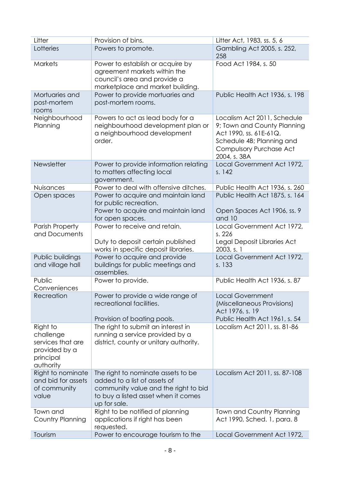| Litter                                                                                | Provision of bins.                                                                                                                                                | Litter Act, 1983, ss. 5, 6                                                                                                                                   |
|---------------------------------------------------------------------------------------|-------------------------------------------------------------------------------------------------------------------------------------------------------------------|--------------------------------------------------------------------------------------------------------------------------------------------------------------|
| Lotteries                                                                             | Powers to promote.                                                                                                                                                | Gambling Act 2005, s. 252,<br>258                                                                                                                            |
| <b>Markets</b>                                                                        | Power to establish or acquire by<br>agreement markets within the<br>council's area and provide a<br>marketplace and market building.                              | Food Act 1984, s. 50                                                                                                                                         |
| Mortuaries and<br>post-mortem<br>rooms                                                | Power to provide mortuaries and<br>post-mortem rooms.                                                                                                             | Public Health Act 1936, s. 198                                                                                                                               |
| Neighbourhood<br>Planning                                                             | Powers to act as lead body for a<br>neighbourhood development plan or<br>a neighbourhood development<br>order.                                                    | Localism Act 2011, Schedule<br>9; Town and County Planning<br>Act 1990, ss. 61E-61Q,<br>Schedule 4B; Planning and<br>Compulsory Purchase Act<br>2004, s. 38A |
| Newsletter                                                                            | Power to provide information relating<br>to matters affecting local<br>government.                                                                                | Local Government Act 1972,<br>s. 142                                                                                                                         |
| Nuisances                                                                             | Power to deal with offensive ditches.                                                                                                                             | Public Health Act 1936, s. 260                                                                                                                               |
| Open spaces                                                                           | Power to acquire and maintain land<br>for public recreation.<br>Power to acquire and maintain land<br>for open spaces.                                            | Public Health Act 1875, s. 164<br>Open Spaces Act 1906, ss. 9<br>and 10                                                                                      |
| <b>Parish Property</b><br>and Documents                                               | Power to receive and retain.<br>Duty to deposit certain published<br>works in specific deposit libraries.                                                         | Local Government Act 1972,<br>s. 226<br>Legal Deposit Libraries Act<br>2003, s. 1                                                                            |
| Public buildings<br>and village hall                                                  | Power to acquire and provide<br>buildings for public meetings and<br>assemblies.                                                                                  | Local Government Act 1972,<br>s. 133                                                                                                                         |
| Public<br>Conveniences                                                                | Power to provide.                                                                                                                                                 | Public Health Act 1936, s. 87                                                                                                                                |
| Recreation                                                                            | Power to provide a wide range of<br>recreational facilities.                                                                                                      | <b>Local Government</b><br>(Miscellaneous Provisions)<br>Act 1976, s. 19                                                                                     |
|                                                                                       | Provision of boating pools.                                                                                                                                       | Public Health Act 1961, s. 54                                                                                                                                |
| Right to<br>challenge<br>services that are<br>provided by a<br>principal<br>authority | The right to submit an interest in<br>running a service provided by a<br>district, county or unitary authority.                                                   | Localism Act 2011, ss. 81-86                                                                                                                                 |
| Right to nominate<br>and bid for assets<br>of community<br>value                      | The right to nominate assets to be<br>added to a list of assets of<br>community value and the right to bid<br>to buy a listed asset when it comes<br>up for sale. | Localism Act 2011, ss. 87-108                                                                                                                                |
| Town and<br>Country Planning                                                          | Right to be notified of planning<br>applications if right has been<br>requested.                                                                                  | Town and Country Planning<br>Act 1990, Sched. 1, para. 8                                                                                                     |
| Tourism                                                                               | Power to encourage tourism to the                                                                                                                                 | Local Government Act 1972,                                                                                                                                   |